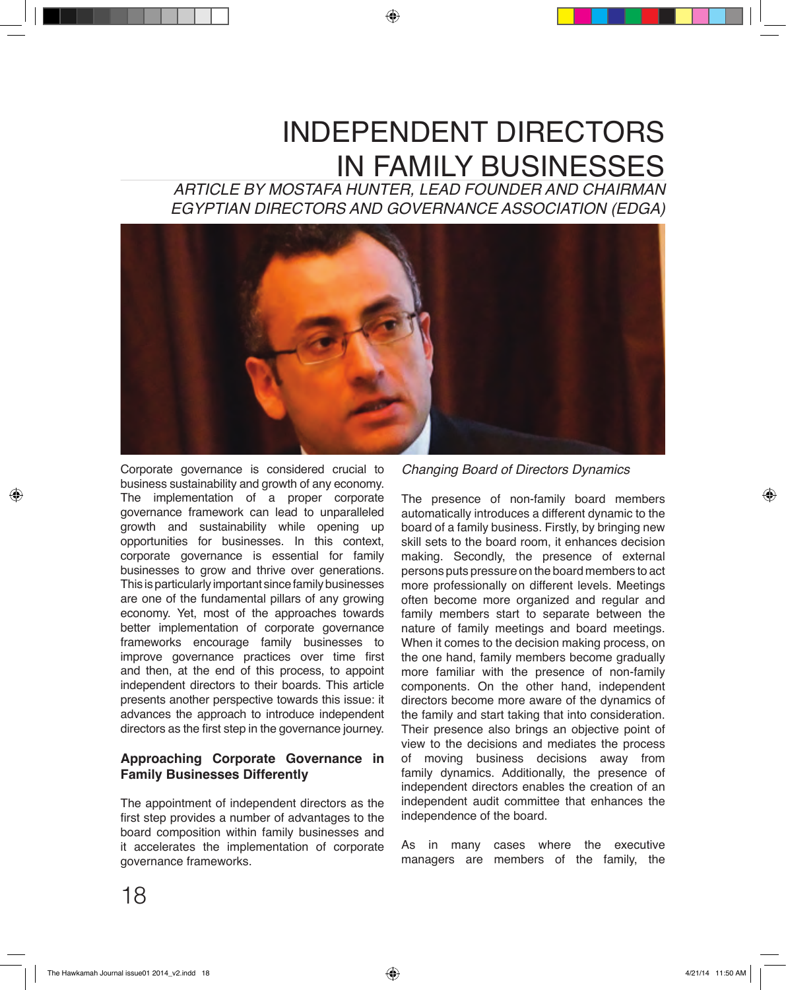# INDEPENDENT DIRECTORS IN FAMILY BUSINESSES

*ARTICLE BY MOSTAFA HUNTER, LEAD FOUNDER AND CHAIRMAN EGYPTIAN DIRECTORS AND GOVERNANCE ASSOCIATION (EDGA)*



Corporate governance is considered crucial to business sustainability and growth of any economy. The implementation of a proper corporate governance framework can lead to unparalleled growth and sustainability while opening up opportunities for businesses. In this context, corporate governance is essential for family businesses to grow and thrive over generations. This is particularly important since family businesses are one of the fundamental pillars of any growing economy. Yet, most of the approaches towards better implementation of corporate governance frameworks encourage family businesses to improve governance practices over time first and then, at the end of this process, to appoint independent directors to their boards. This article presents another perspective towards this issue: it advances the approach to introduce independent directors as the first step in the governance journey.

## **Approaching Corporate Governance in Family Businesses Differently**

The appointment of independent directors as the first step provides a number of advantages to the board composition within family businesses and it accelerates the implementation of corporate governance frameworks.

*Changing Board of Directors Dynamics*

The presence of non-family board members automatically introduces a different dynamic to the board of a family business. Firstly, by bringing new skill sets to the board room, it enhances decision making. Secondly, the presence of external persons puts pressure on the board members to act more professionally on different levels. Meetings often become more organized and regular and family members start to separate between the nature of family meetings and board meetings. When it comes to the decision making process, on the one hand, family members become gradually more familiar with the presence of non-family components. On the other hand, independent directors become more aware of the dynamics of the family and start taking that into consideration. Their presence also brings an objective point of view to the decisions and mediates the process of moving business decisions away from family dynamics. Additionally, the presence of independent directors enables the creation of an independent audit committee that enhances the independence of the board.

As in many cases where the executive managers are members of the family, the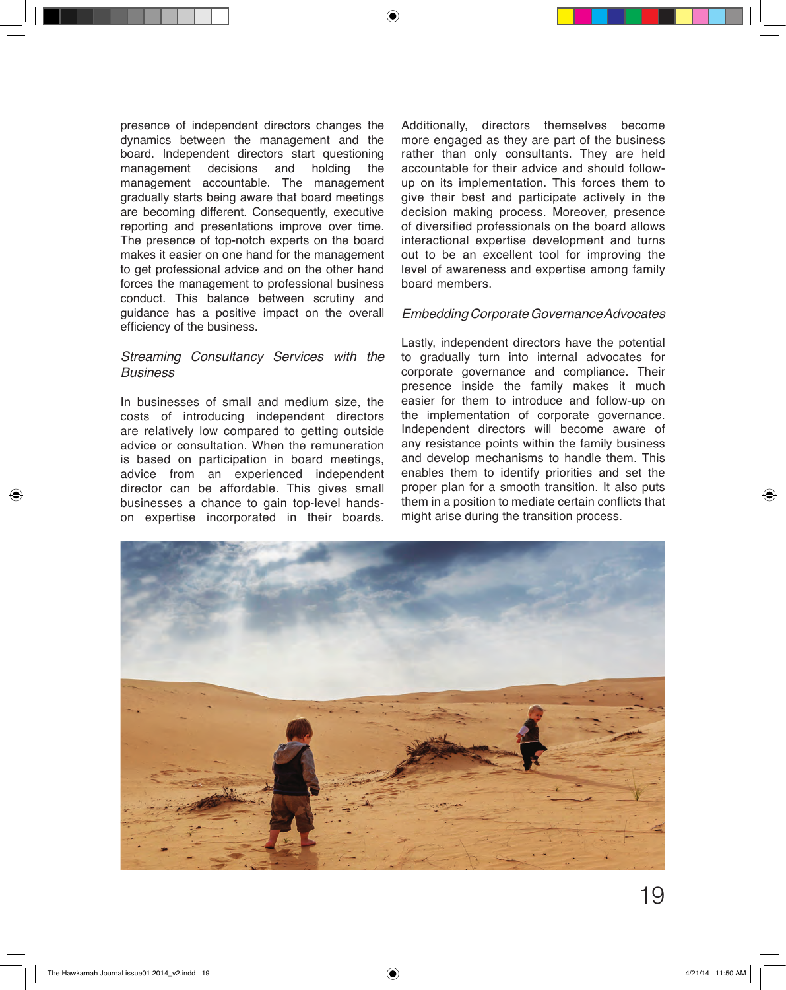presence of independent directors changes the dynamics between the management and the board. Independent directors start questioning management decisions and holding the management accountable. The management gradually starts being aware that board meetings are becoming different. Consequently, executive reporting and presentations improve over time. The presence of top-notch experts on the board makes it easier on one hand for the management to get professional advice and on the other hand forces the management to professional business conduct. This balance between scrutiny and guidance has a positive impact on the overall efficiency of the business.

### *Streaming Consultancy Services with the Business*

In businesses of small and medium size, the costs of introducing independent directors are relatively low compared to getting outside advice or consultation. When the remuneration is based on participation in board meetings, advice from an experienced independent director can be affordable. This gives small businesses a chance to gain top-level handson expertise incorporated in their boards.

Additionally, directors themselves become more engaged as they are part of the business rather than only consultants. They are held accountable for their advice and should followup on its implementation. This forces them to give their best and participate actively in the decision making process. Moreover, presence of diversified professionals on the board allows interactional expertise development and turns out to be an excellent tool for improving the level of awareness and expertise among family board members.

#### *Embedding Corporate Governance Advocates*

Lastly, independent directors have the potential to gradually turn into internal advocates for corporate governance and compliance. Their presence inside the family makes it much easier for them to introduce and follow-up on the implementation of corporate governance. Independent directors will become aware of any resistance points within the family business and develop mechanisms to handle them. This enables them to identify priorities and set the proper plan for a smooth transition. It also puts them in a position to mediate certain conflicts that might arise during the transition process.

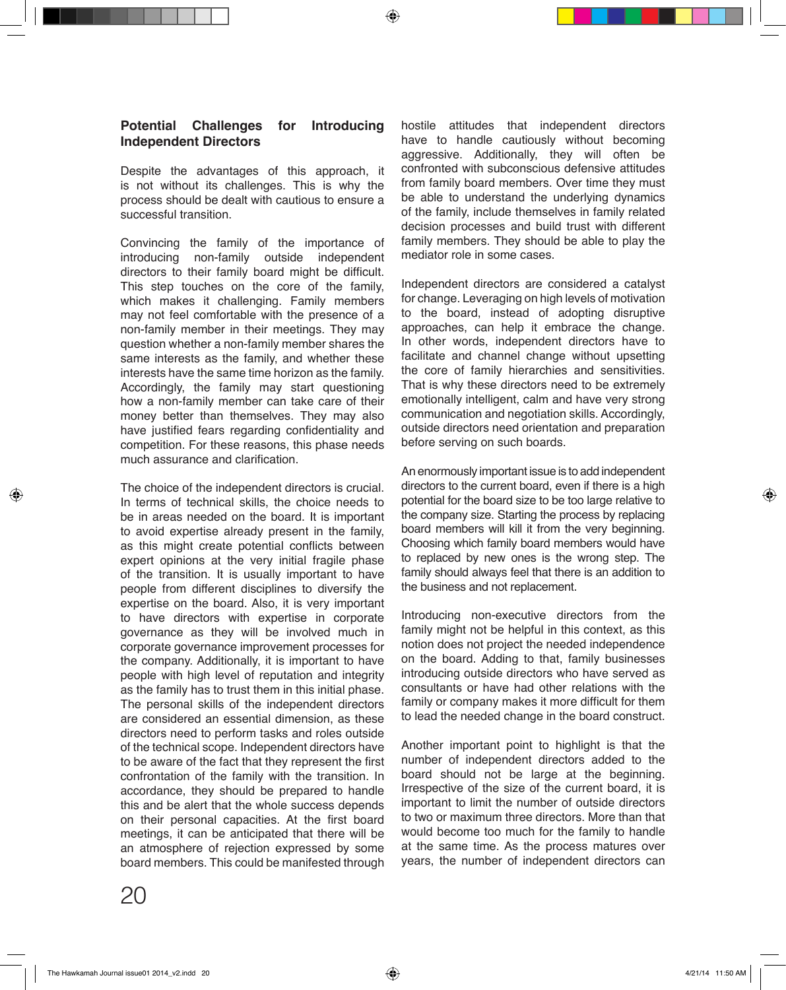#### **Potential Challenges for Introducing Independent Directors**

Despite the advantages of this approach, it is not without its challenges. This is why the process should be dealt with cautious to ensure a successful transition.

Convincing the family of the importance of introducing non-family outside independent directors to their family board might be difficult. This step touches on the core of the family, which makes it challenging. Family members may not feel comfortable with the presence of a non-family member in their meetings. They may question whether a non-family member shares the same interests as the family, and whether these interests have the same time horizon as the family. Accordingly, the family may start questioning how a non-family member can take care of their money better than themselves. They may also have justified fears regarding confidentiality and competition. For these reasons, this phase needs much assurance and clarification.

The choice of the independent directors is crucial. In terms of technical skills, the choice needs to be in areas needed on the board. It is important to avoid expertise already present in the family, as this might create potential conflicts between expert opinions at the very initial fragile phase of the transition. It is usually important to have people from different disciplines to diversify the expertise on the board. Also, it is very important to have directors with expertise in corporate governance as they will be involved much in corporate governance improvement processes for the company. Additionally, it is important to have people with high level of reputation and integrity as the family has to trust them in this initial phase. The personal skills of the independent directors are considered an essential dimension, as these directors need to perform tasks and roles outside of the technical scope. Independent directors have to be aware of the fact that they represent the first confrontation of the family with the transition. In accordance, they should be prepared to handle this and be alert that the whole success depends on their personal capacities. At the first board meetings, it can be anticipated that there will be an atmosphere of rejection expressed by some board members. This could be manifested through hostile attitudes that independent directors have to handle cautiously without becoming aggressive. Additionally, they will often be confronted with subconscious defensive attitudes from family board members. Over time they must be able to understand the underlying dynamics of the family, include themselves in family related decision processes and build trust with different family members. They should be able to play the mediator role in some cases.

Independent directors are considered a catalyst for change. Leveraging on high levels of motivation to the board, instead of adopting disruptive approaches, can help it embrace the change. In other words, independent directors have to facilitate and channel change without upsetting the core of family hierarchies and sensitivities. That is why these directors need to be extremely emotionally intelligent, calm and have very strong communication and negotiation skills. Accordingly, outside directors need orientation and preparation before serving on such boards.

An enormously important issue is to add independent directors to the current board, even if there is a high potential for the board size to be too large relative to the company size. Starting the process by replacing board members will kill it from the very beginning. Choosing which family board members would have to replaced by new ones is the wrong step. The family should always feel that there is an addition to the business and not replacement.

Introducing non-executive directors from the family might not be helpful in this context, as this notion does not project the needed independence on the board. Adding to that, family businesses introducing outside directors who have served as consultants or have had other relations with the family or company makes it more difficult for them to lead the needed change in the board construct.

Another important point to highlight is that the number of independent directors added to the board should not be large at the beginning. Irrespective of the size of the current board, it is important to limit the number of outside directors to two or maximum three directors. More than that would become too much for the family to handle at the same time. As the process matures over years, the number of independent directors can